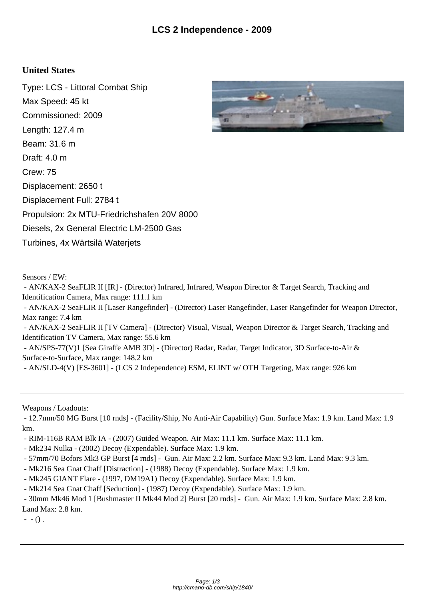## **United States**

Type: LCS - Littoral Combat Ship Max Speed: 45 kt Commissioned: 2009 Length: 127.4 m Beam: 31.6 m Draft: 4.0 m Crew: 75 Displacement: 2650 t Displacement Full: 2784 t Propulsion: 2x MTU-Friedrichshafen 20V 8000 Diesels, 2x General Electric LM-2500 Gas Turbines, 4x Wärtsilä Waterjets

Sensors / EW:

 - AN/KAX-2 SeaFLIR II [IR] - (Director) Infrared, Infrared, Weapon Director & Target Search, Tracking and Identification Camera, Max range: 111.1 km

 - AN/KAX-2 SeaFLIR II [Laser Rangefinder] - (Director) Laser Rangefinder, Laser Rangefinder for Weapon Director, Max range: 7.4 km

 - AN/KAX-2 SeaFLIR II [TV Camera] - (Director) Visual, Visual, Weapon Director & Target Search, Tracking and Identification TV Camera, Max range: 55.6 km

 - AN/SPS-77(V)1 [Sea Giraffe AMB 3D] - (Director) Radar, Radar, Target Indicator, 3D Surface-to-Air & Surface-to-Surface, Max range: 148.2 km

- AN/SLD-4(V) [ES-3601] - (LCS 2 Independence) ESM, ELINT w/ OTH Targeting, Max range: 926 km

Weapons / Loadouts:

 - 12.7mm/50 MG Burst [10 rnds] - (Facility/Ship, No Anti-Air Capability) Gun. Surface Max: 1.9 km. Land Max: 1.9 km.

- RIM-116B RAM Blk IA - (2007) Guided Weapon. Air Max: 11.1 km. Surface Max: 11.1 km.

- Mk234 Nulka - (2002) Decoy (Expendable). Surface Max: 1.9 km.

- 57mm/70 Bofors Mk3 GP Burst [4 rnds] - Gun. Air Max: 2.2 km. Surface Max: 9.3 km. Land Max: 9.3 km.

- Mk216 Sea Gnat Chaff [Distraction] - (1988) Decoy (Expendable). Surface Max: 1.9 km.

- Mk245 GIANT Flare - (1997, DM19A1) Decoy (Expendable). Surface Max: 1.9 km.

- Mk214 Sea Gnat Chaff [Seduction] - (1987) Decoy (Expendable). Surface Max: 1.9 km.

 - 30mm Mk46 Mod 1 [Bushmaster II Mk44 Mod 2] Burst [20 rnds] - Gun. Air Max: 1.9 km. Surface Max: 2.8 km. Land Max: 2.8 km.

 $-$  ().

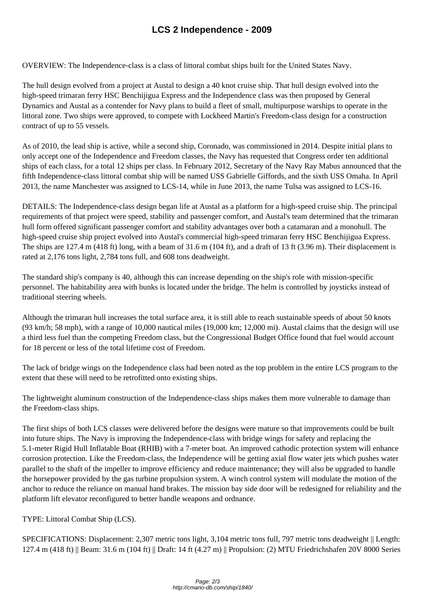OVERVIEW: The Independence-class is [a class of littoral combat ships built fo](http://cmano-db.com/ship/1840/)r the United States Navy.

The hull design evolved from a project at Austal to design a 40 knot cruise ship. That hull design evolved into the high-speed trimaran ferry HSC Benchijigua Express and the Independence class was then proposed by General Dynamics and Austal as a contender for Navy plans to build a fleet of small, multipurpose warships to operate in the littoral zone. Two ships were approved, to compete with Lockheed Martin's Freedom-class design for a construction contract of up to 55 vessels.

As of 2010, the lead ship is active, while a second ship, Coronado, was commissioned in 2014. Despite initial plans to only accept one of the Independence and Freedom classes, the Navy has requested that Congress order ten additional ships of each class, for a total 12 ships per class. In February 2012, Secretary of the Navy Ray Mabus announced that the fifth Independence-class littoral combat ship will be named USS Gabrielle Giffords, and the sixth USS Omaha. In April 2013, the name Manchester was assigned to LCS-14, while in June 2013, the name Tulsa was assigned to LCS-16.

DETAILS: The Independence-class design began life at Austal as a platform for a high-speed cruise ship. The principal requirements of that project were speed, stability and passenger comfort, and Austal's team determined that the trimaran hull form offered significant passenger comfort and stability advantages over both a catamaran and a monohull. The high-speed cruise ship project evolved into Austal's commercial high-speed trimaran ferry HSC Benchijigua Express. The ships are 127.4 m (418 ft) long, with a beam of 31.6 m (104 ft), and a draft of 13 ft (3.96 m). Their displacement is rated at 2,176 tons light, 2,784 tons full, and 608 tons deadweight.

The standard ship's company is 40, although this can increase depending on the ship's role with mission-specific personnel. The habitability area with bunks is located under the bridge. The helm is controlled by joysticks instead of traditional steering wheels.

Although the trimaran hull increases the total surface area, it is still able to reach sustainable speeds of about 50 knots (93 km/h; 58 mph), with a range of 10,000 nautical miles (19,000 km; 12,000 mi). Austal claims that the design will use a third less fuel than the competing Freedom class, but the Congressional Budget Office found that fuel would account for 18 percent or less of the total lifetime cost of Freedom.

The lack of bridge wings on the Independence class had been noted as the top problem in the entire LCS program to the extent that these will need to be retrofitted onto existing ships.

The lightweight aluminum construction of the Independence-class ships makes them more vulnerable to damage than the Freedom-class ships.

The first ships of both LCS classes were delivered before the designs were mature so that improvements could be built into future ships. The Navy is improving the Independence-class with bridge wings for safety and replacing the 5.1-meter Rigid Hull Inflatable Boat (RHIB) with a 7-meter boat. An improved cathodic protection system will enhance corrosion protection. Like the Freedom-class, the Independence will be getting axial flow water jets which pushes water parallel to the shaft of the impeller to improve efficiency and reduce maintenance; they will also be upgraded to handle the horsepower provided by the gas turbine propulsion system. A winch control system will modulate the motion of the anchor to reduce the reliance on manual hand brakes. The mission bay side door will be redesigned for reliability and the platform lift elevator reconfigured to better handle weapons and ordnance.

TYPE: Littoral Combat Ship (LCS).

SPECIFICATIONS: Displacement: 2,307 metric tons light, 3,104 metric tons full, 797 metric tons deadweight || Length: 127.4 m (418 ft) || Beam: 31.6 m (104 ft) || Draft: 14 ft (4.27 m) || Propulsion: (2) MTU Friedrichshafen 20V 8000 Series